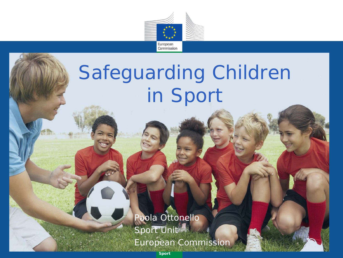

## Safeguarding Children in Sport

Paola Ottonello Sport Unit<sup>/1</sup> European Commission

*Sport*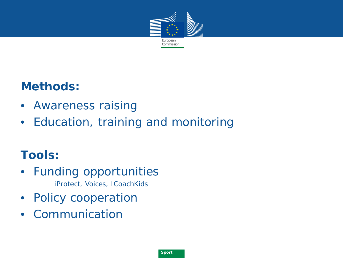

### **Methods:**

- Awareness raising
- Education, training and monitoring

### **Tools:**

- Funding opportunities iProtect, Voices, ICoachKids
- Policy cooperation
- Communication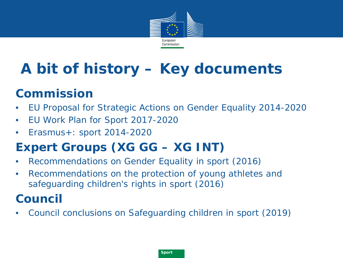

## **A bit of history – Key documents**

### **Commission**

- EU Proposal for Strategic Actions on Gender Equality 2014-2020
- EU Work Plan for Sport 2017-2020
- Erasmus+: sport 2014-2020

### **Expert Groups (XG GG – XG INT)**

- Recommendations on Gender Equality in sport (2016)
- Recommendations on the protection of young athletes and safeguarding children's rights in sport (2016)

### **Council**

• Council conclusions on Safeguarding children in sport (2019)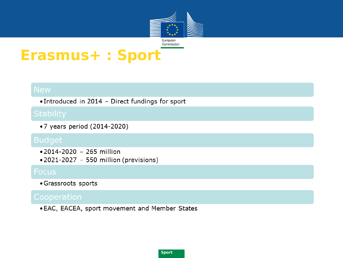

### **Erasmus+ : Sport**

• Introduced in 2014 - Direct fundings for sport

•7 years period (2014-2020)

- $\bullet$  2014-2020 265 million
- $\bullet$  2021-2027 550 million (previsions)

### **Focus**

• Grassroots sports

. EAC, EACEA, sport movement and Member States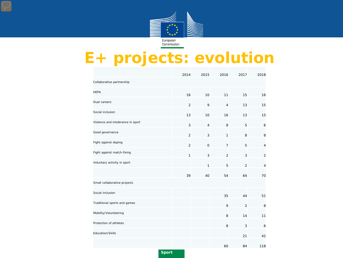

## **E+ projects: evolution**

|                                   | 2014           | 2015           | 2016           | 2017           | 2018           |
|-----------------------------------|----------------|----------------|----------------|----------------|----------------|
| Collaborative partnership         |                |                |                |                |                |
| <b>HEPA</b>                       | 16             | 10             | 11             | 15             | 16             |
| Dual careers                      | $\overline{2}$ | 9              | $\overline{4}$ | 13             | 15             |
| Social inclusion                  | 13             | 10             | 16             | 13             | 15             |
| Violence and intolerance in sport | 3              | $\overline{4}$ | 8              | 5              | 6              |
| Good governance                   | $\overline{2}$ | 3              | 1              | 8              | 8              |
| Fight against doping              | $\overline{2}$ | $\mathbf 0$    | $\overline{7}$ | 5              | $\sqrt{4}$     |
| Fight against match-fixing        | $\mathbf{1}$   | 3              | $\overline{2}$ | 3              | $\overline{2}$ |
| Voluntary activity in sport       |                | 1              | 5              | $\overline{2}$ | $\overline{4}$ |
|                                   | 39             | 40             | 54             | 64             | 70             |
| Small collaborative projects      |                |                |                |                |                |
| Social inclusion                  |                |                | 35             | 44             | 51             |
| Traditional sports and games      |                |                | 9              | $\overline{2}$ | 8              |
| Mobility/Volunteering             |                |                | 8              | 14             | 11             |
| Protection of athletes            |                |                | 8              | 3              | 6              |
| Education/Skills                  |                |                |                | 21             | 42             |
|                                   |                |                | 60             | 84             | 118            |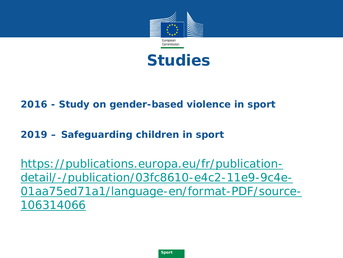



### **2016 - Study on gender-based violence in sport**

### **2019 – Safeguarding children in sport**

https://publications.europa.eu/fr/publicationdetail/-/publication/03fc8610-e4c2-11e9-9c4e-[01aa75ed71a1/language-en/format-PDF/source-](https://publications.europa.eu/fr/publication-detail/-/publication/03fc8610-e4c2-11e9-9c4e-01aa75ed71a1/language-en/format-PDF/source-106314066)106314066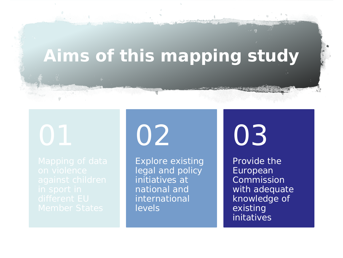## **Aims of this mapping study**

02

Explore existing legal and policy initiatives at national and international levels

03

Provide the European Commission with adequate knowledge of existing initatives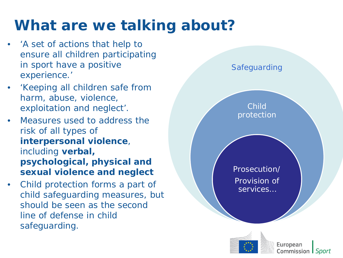## **What are we talking about?**

- 'A set of actions that help to ensure all children participating in sport have a positive experience.'
- 'Keeping all children safe from harm, abuse, violence, exploitation and neglect'.
- Measures used to address the risk of all types of **interpersonal violence**, including **verbal, psychological, physical and sexual violence and neglect**
- Child protection forms a part of child safeguarding measures, but should be seen as the second line of defense in child safeguarding.



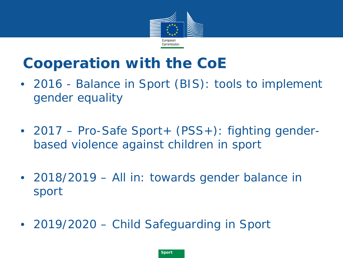

### **Cooperation with the CoE**

- 2016 Balance in Sport (BIS): tools to implement gender equality
- 2017 Pro-Safe Sport+ (PSS+): fighting genderbased violence against children in sport
- 2018/2019 All in: towards gender balance in sport
- *2019/2020 – Child Safeguarding in Sport*